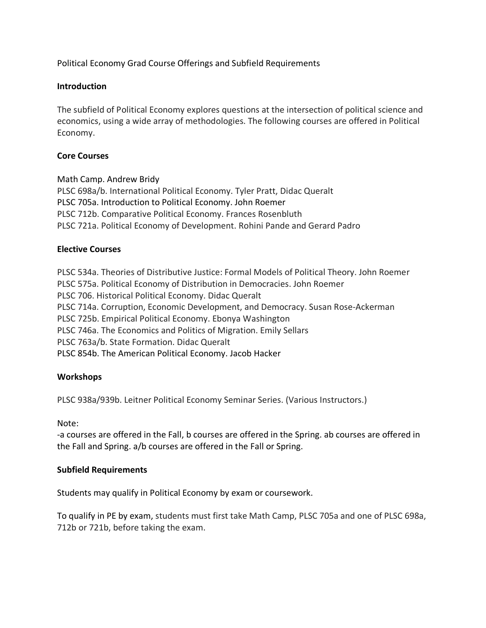Political Economy Grad Course Offerings and Subfield Requirements

# **Introduction**

 The subfield of Political Economy explores questions at the intersection of political science and economics, using a wide array of methodologies. The following courses are offered in Political Economy.

# **Core Courses**

 Math Camp. Andrew Bridy PLSC 698a/b. International Political Economy. Tyler Pratt, Didac Queralt PLSC 705a. Introduction to Political Economy. John Roemer PLSC 712b. Comparative Political Economy. Frances Rosenbluth PLSC 721a. Political Economy of Development. Rohini Pande and Gerard Padro

# **Elective Courses**

 PLSC 534a. Theories of Distributive Justice: Formal Models of Political Theory. John Roemer PLSC 575a. Political Economy of Distribution in Democracies. John Roemer PLSC 706. Historical Political Economy. Didac Queralt PLSC 714a. Corruption, Economic Development, and Democracy. Susan Rose-Ackerman PLSC 725b. Empirical Political Economy. Ebonya Washington PLSC 763a/b. State Formation. Didac Queralt PLSC 854b. The American Political Economy. Jacob Hacker PLSC 746a. The Economics and Politics of Migration. Emily Sellars

### **Workshops**

PLSC 938a/939b. Leitner Political Economy Seminar Series. (Various Instructors.)

Note:

 -a courses are offered in the Fall, b courses are offered in the Spring. ab courses are offered in the Fall and Spring. a/b courses are offered in the Fall or Spring.

### **Subfield Requirements**

Students may qualify in Political Economy by exam or coursework.

 To qualify in PE by exam, students must first take Math Camp, PLSC 705a and one of PLSC 698a, 712b or 721b, before taking the exam.